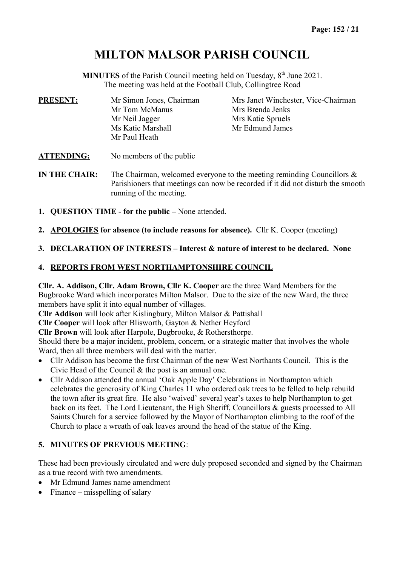# **MILTON MALSOR PARISH COUNCIL**

**MINUTES** of the Parish Council meeting held on Tuesday, 8<sup>th</sup> June 2021. The meeting was held at the Football Club, Collingtree Road

| <b>PRESENT:</b> | Mr Simon Jones, Chairman | Mrs Janet Winchester, Vice-Chairman |
|-----------------|--------------------------|-------------------------------------|
|                 | Mr Tom McManus           | Mrs Brenda Jenks                    |
|                 | Mr Neil Jagger           | Mrs Katie Spruels                   |
|                 | Ms Katie Marshall        | Mr Edmund James                     |
|                 | Mr Paul Heath            |                                     |
|                 |                          |                                     |

**ATTENDING:** No members of the public

**IN THE CHAIR:** The Chairman, welcomed everyone to the meeting reminding Councillors & Parishioners that meetings can now be recorded if it did not disturb the smooth running of the meeting.

- **1. QUESTION TIME for the public** None attended.
- **2. APOLOGIES for absence (to include reasons for absence).** Cllr K. Cooper (meeting)

### **3. DECLARATION OF INTERESTS – Interest & nature of interest to be declared. None**

### **4. REPORTS FROM WEST NORTHAMPTONSHIRE COUNCIL**

**Cllr. A. Addison, Cllr. Adam Brown, Cllr K. Cooper** are the three Ward Members for the Bugbrooke Ward which incorporates Milton Malsor. Due to the size of the new Ward, the three members have split it into equal number of villages.

**Cllr Addison** will look after Kislingbury, Milton Malsor & Pattishall

**Cllr Cooper** will look after Blisworth, Gayton & Nether Heyford

**Cllr Brown** will look after Harpole, Bugbrooke, & Rothersthorpe.

Should there be a major incident, problem, concern, or a strategic matter that involves the whole Ward, then all three members will deal with the matter.

- Cllr Addison has become the first Chairman of the new West Northants Council. This is the Civic Head of the Council & the post is an annual one.
- Cllr Addison attended the annual 'Oak Apple Day' Celebrations in Northampton which celebrates the generosity of King Charles 11 who ordered oak trees to be felled to help rebuild the town after its great fire. He also 'waived' several year's taxes to help Northampton to get back on its feet. The Lord Lieutenant, the High Sheriff, Councillors & guests processed to All Saints Church for a service followed by the Mayor of Northampton climbing to the roof of the Church to place a wreath of oak leaves around the head of the statue of the King.

### **5. MINUTES OF PREVIOUS MEETING**:

These had been previously circulated and were duly proposed seconded and signed by the Chairman as a true record with two amendments.

- Mr Edmund James name amendment
- $\bullet$  Finance misspelling of salary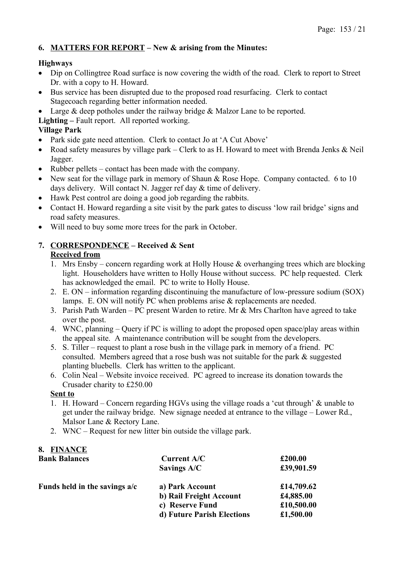### **6. MATTERS FOR REPORT – New & arising from the Minutes:**

### **Highways**

- Dip on Collingtree Road surface is now covering the width of the road. Clerk to report to Street Dr. with a copy to H. Howard.
- Bus service has been disrupted due to the proposed road resurfacing. Clerk to contact Stagecoach regarding better information needed.
- Large & deep potholes under the railway bridge & Malzor Lane to be reported.

**Lighting –** Fault report. All reported working.

### **Village Park**

- Park side gate need attention. Clerk to contact Jo at 'A Cut Above'
- Road safety measures by village park Clerk to as H. Howard to meet with Brenda Jenks & Neil Jagger.
- Rubber pellets contact has been made with the company.
- New seat for the village park in memory of Shaun & Rose Hope. Company contacted. 6 to 10 days delivery. Will contact N. Jagger ref day & time of delivery.
- Hawk Pest control are doing a good job regarding the rabbits.
- Contact H. Howard regarding a site visit by the park gates to discuss 'low rail bridge' signs and road safety measures.
- Will need to buy some more trees for the park in October.

# **7. CORRESPONDENCE – Received & Sent**

- **Received from**
- 1. Mrs Ensby concern regarding work at Holly House & overhanging trees which are blocking light. Householders have written to Holly House without success. PC help requested. Clerk has acknowledged the email. PC to write to Holly House.
- 2. E. ON information regarding discontinuing the manufacture of low-pressure sodium (SOX) lamps. E. ON will notify PC when problems arise & replacements are needed.
- 3. Parish Path Warden PC present Warden to retire. Mr & Mrs Charlton have agreed to take over the post.
- 4. WNC, planning Query if PC is willing to adopt the proposed open space/play areas within the appeal site. A maintenance contribution will be sought from the developers.
- 5. S. Tiller request to plant a rose bush in the village park in memory of a friend. PC consulted. Members agreed that a rose bush was not suitable for the park & suggested planting bluebells. Clerk has written to the applicant.
- 6. Colin Neal Website invoice received. PC agreed to increase its donation towards the Crusader charity to £250.00

### **Sent to**

**8. FINANCE**

- 1. H. Howard Concern regarding HGVs using the village roads a 'cut through' & unable to get under the railway bridge. New signage needed at entrance to the village – Lower Rd., Malsor Lane & Rectory Lane.
- 2. WNC Request for new litter bin outside the village park.

| <b>Bank Balances</b>          | Current A/C                | £200.00    |
|-------------------------------|----------------------------|------------|
|                               | Savings A/C                | £39,901.59 |
| Funds held in the savings a/c | a) Park Account            | £14,709.62 |
|                               | b) Rail Freight Account    | £4,885.00  |
|                               | c) Reserve Fund            | £10,500.00 |
|                               | d) Future Parish Elections | £1,500.00  |
|                               |                            |            |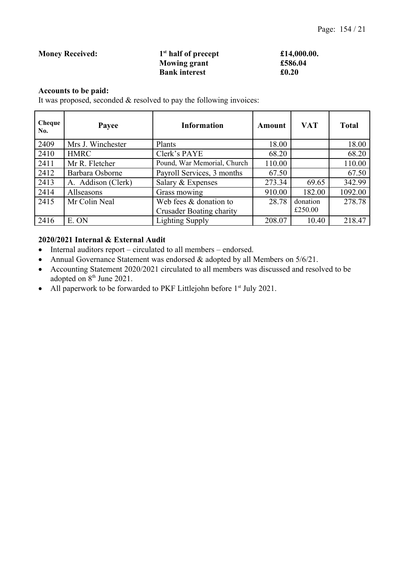#### **Money Received: 1 st half of precept £14,000.00. Mowing grant £586.04 Bank interest £0.20**

### **Accounts to be paid:**

It was proposed, seconded & resolved to pay the following invoices:

| Cheque<br>No. | Payee              | <b>Information</b>              | Amount | <b>VAT</b> | <b>Total</b> |
|---------------|--------------------|---------------------------------|--------|------------|--------------|
| 2409          | Mrs J. Winchester  | Plants                          | 18.00  |            | 18.00        |
| 2410          | <b>HMRC</b>        | Clerk's PAYE                    | 68.20  |            | 68.20        |
| 2411          | Mr R. Fletcher     | Pound, War Memorial, Church     | 110.00 |            | 110.00       |
| 2412          | Barbara Osborne    | Payroll Services, 3 months      | 67.50  |            | 67.50        |
| 2413          | A. Addison (Clerk) | Salary & Expenses               | 273.34 | 69.65      | 342.99       |
| 2414          | Allseasons         | Grass mowing                    | 910.00 | 182.00     | 1092.00      |
| 2415          | Mr Colin Neal      | Web fees & donation to          | 28.78  | donation   | 278.78       |
|               |                    | <b>Crusader Boating charity</b> |        | £250.00    |              |
| 2416          | E. ON              | <b>Lighting Supply</b>          | 208.07 | 10.40      | 218.47       |

### **2020/2021 Internal & External Audit**

- Internal auditors report circulated to all members endorsed.
- Annual Governance Statement was endorsed & adopted by all Members on 5/6/21.
- Accounting Statement 2020/2021 circulated to all members was discussed and resolved to be adopted on  $8<sup>th</sup>$  June 2021.
- All paperwork to be forwarded to PKF Littlejohn before 1<sup>st</sup> July 2021.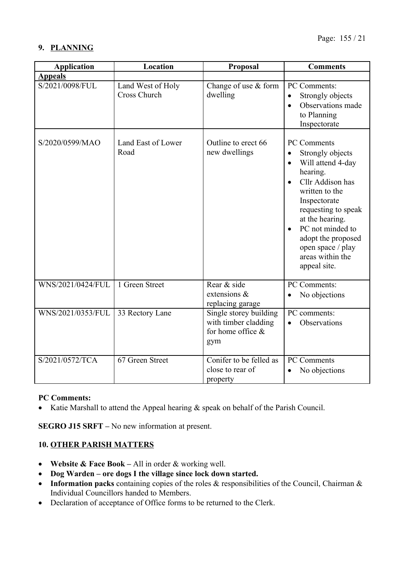### **9. PLANNING**

| <b>Application</b> | Location                                 | <b>Proposal</b>                                                            | <b>Comments</b>                                                                                                                                                                                                                                                                                      |
|--------------------|------------------------------------------|----------------------------------------------------------------------------|------------------------------------------------------------------------------------------------------------------------------------------------------------------------------------------------------------------------------------------------------------------------------------------------------|
| <b>Appeals</b>     |                                          |                                                                            |                                                                                                                                                                                                                                                                                                      |
| S/2021/0098/FUL    | Land West of Holy<br><b>Cross Church</b> | Change of use & form<br>dwelling                                           | PC Comments:<br>Strongly objects<br>$\bullet$<br>Observations made<br>$\bullet$<br>to Planning<br>Inspectorate                                                                                                                                                                                       |
| S/2020/0599/MAO    | Land East of Lower<br>Road               | Outline to erect 66<br>new dwellings                                       | <b>PC Comments</b><br>Strongly objects<br>$\bullet$<br>Will attend 4-day<br>$\bullet$<br>hearing.<br>Cllr Addison has<br>written to the<br>Inspectorate<br>requesting to speak<br>at the hearing.<br>PC not minded to<br>adopt the proposed<br>open space / play<br>areas within the<br>appeal site. |
| WNS/2021/0424/FUL  | 1 Green Street                           | Rear & side<br>extensions &<br>replacing garage                            | PC Comments:<br>No objections<br>$\bullet$                                                                                                                                                                                                                                                           |
| WNS/2021/0353/FUL  | 33 Rectory Lane                          | Single storey building<br>with timber cladding<br>for home office &<br>gym | PC comments:<br>Observations                                                                                                                                                                                                                                                                         |
| S/2021/0572/TCA    | 67 Green Street                          | Conifer to be felled as<br>close to rear of<br>property                    | <b>PC</b> Comments<br>No objections                                                                                                                                                                                                                                                                  |

### **PC Comments:**

• Katie Marshall to attend the Appeal hearing  $\&$  speak on behalf of the Parish Council.

**SEGRO J15 SRFT –** No new information at present.

### **10. OTHER PARISH MATTERS**

- **Website & Face Book** All in order & working well.
- **Dog Warden ore dogs I the village since lock down started.**
- **Information packs** containing copies of the roles & responsibilities of the Council, Chairman & Individual Councillors handed to Members.
- Declaration of acceptance of Office forms to be returned to the Clerk.